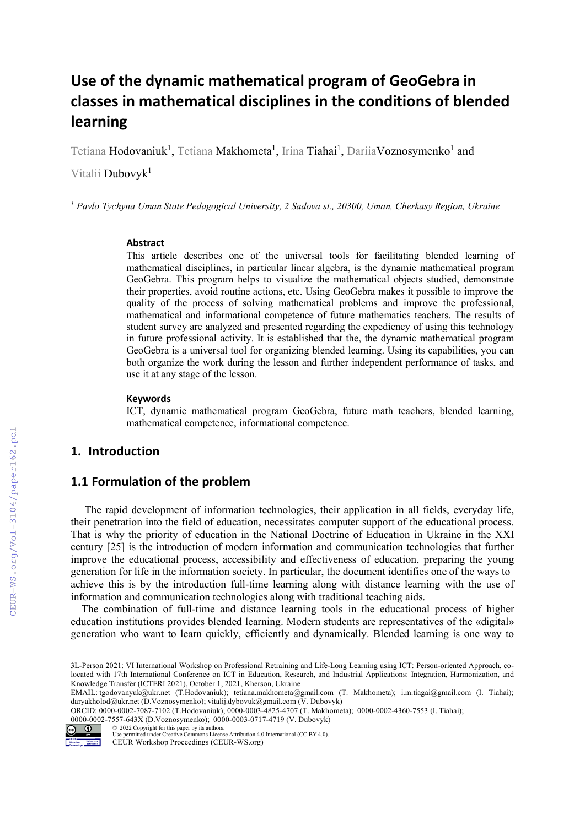# Use of the dynamic mathematical program of GeoGebra in classes in mathematical disciplines in the conditions of blended learning

Tetiana Hodovaniuk<sup>1</sup>, Tetiana Makhometa<sup>1</sup>, Irina Tiahai<sup>1</sup>, DariiaVoznosymenko<sup>1</sup> and

Vitalii Dubovyk<sup>1</sup>

<sup>1</sup> Pavlo Tychyna Uman State Pedagogical University, 2 Sadova st., 20300, Uman, Cherkasy Region, Ukraine

#### Abstract

This article describes one of the universal tools for facilitating blended learning of mathematical disciplines, in particular linear algebra, is the dynamic mathematical program GeoGebra. This program helps to visualize the mathematical objects studied, demonstrate their properties, avoid routine actions, etc. Using GeoGebra makes it possible to improve the quality of the process of solving mathematical problems and improve the professional, mathematical and informational competence of future mathematics teachers. The results of student survey are analyzed and presented regarding the expediency of using this technology in future professional activity. It is established that the, the dynamic mathematical program GeoGebra is a universal tool for organizing blended learning. Using its capabilities, you can both organize the work during the lesson and further independent performance of tasks, and use it at any stage of the lesson.

#### **Keywords**

ICT, dynamic mathematical program GeoGebra, future math teachers, blended learning, mathematical competence, informational competence.

# 1. Introduction

## 1.1 Formulation of the problem

The rapid development of information technologies, their application in all fields, everyday life, their penetration into the field of education, necessitates computer support of the educational process. That is why the priority of education in the National Doctrine of Education in Ukraine in the XXI century [25] is the introduction of modern information and communication technologies that further improve the educational process, accessibility and effectiveness of education, preparing the young generation for life in the information society. In particular, the document identifies one of the ways to achieve this is by the introduction full-time learning along with distance learning with the use of information and communication technologies along with traditional teaching aids.

The combination of full-time and distance learning tools in the educational process of higher education institutions provides blended learning. Modern students are representatives of the «digital» generation who want to learn quickly, efficiently and dynamically. Blended learning is one way to

ORCID: 0000-0002-7087-7102 (T.Hodovaniuk); 0000-0003-4825-4707 (T. Makhometa); 0000-0002-4360-7553 (I. Tiahai); 0000-0002-7557-643X (D.Voznosуmenko); 0000-0003-0717-4719 (V. Dubovyk)



<sup>© 2022</sup> Copyright for this paper by its authors. Use permitted under Creative Commons License Attribution 4.0 International (CC BY 4.0).

<sup>3</sup>L-Person 2021: VI International Workshop on Professional Retraining and Life-Long Learning using ICT: Person-oriented Approach, colocated with 17th International Conference on ICT in Education, Research, and Industrial Applications: Integration, Harmonization, and Knowledge Transfer (ICTERI 2021), October 1, 2021, Kherson, Ukraine

EMAIL: tgodovanyuk@ukr.net (T.Hodovaniuk); tetiana.makhometa@gmail.com (T. Makhometa); i.m.tiagai@gmail.com (I. Tiahai); daryakholod@ukr.net (D.Voznosуmenko); vitalij.dybovuk@gmail.com (V. Dubovyk)

ip Mohemang<br>Ingka bin kanang CEUR Workshop Proceedings (CEUR-WS.org)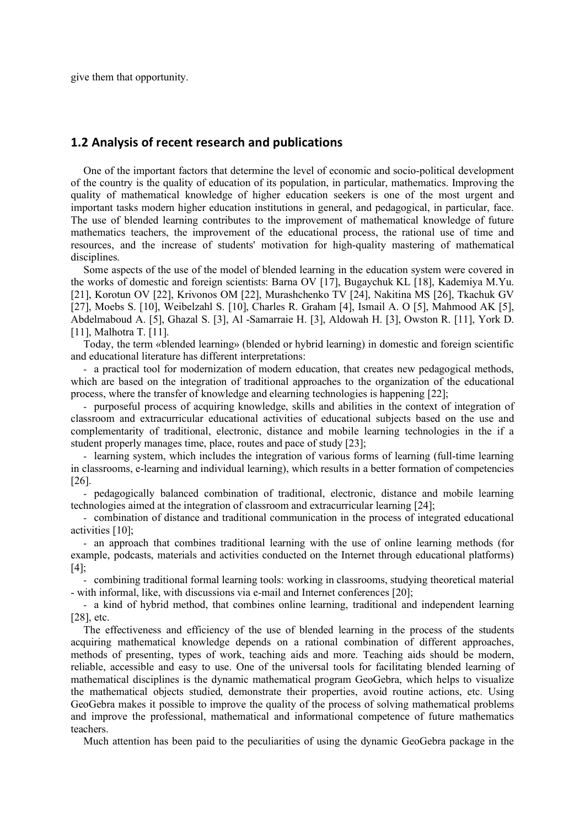give them that opportunity.

## 1.2 Analysis of recent research and publications

One of the important factors that determine the level of economic and socio-political development of the country is the quality of education of its population, in particular, mathematics. Improving the quality of mathematical knowledge of higher education seekers is one of the most urgent and important tasks modern higher education institutions in general, and pedagogical, in particular, face. The use of blended learning contributes to the improvement of mathematical knowledge of future mathematics teachers, the improvement of the educational process, the rational use of time and resources, and the increase of students' motivation for high-quality mastering of mathematical disciplines.

Some aspects of the use of the model of blended learning in the education system were covered in the works of domestic and foreign scientists: Barna OV [17], Bugaychuk KL [18], Kademiya M.Yu. [21], Korotun OV [22], Krivonos OM [22], Murashchenko TV [24], Nakitina MS [26], Tkachuk GV [27], Moebs S. [10], Weibelzahl S. [10], Charles R. Graham [4], Ismail A. O [5], Mahmood AK [5], Abdelmaboud A. [5], Ghazal S. [3], Al -Samarraie H. [3], Aldowah H. [3], Owston R. [11], York D. [11], Malhotra T. [11].

Today, the term «blended learning» (blended or hybrid learning) in domestic and foreign scientific and educational literature has different interpretations:

- a practical tool for modernization of modern education, that creates new pedagogical methods, which are based on the integration of traditional approaches to the organization of the educational process, where the transfer of knowledge and elearning technologies is happening [22];

- purposeful process of acquiring knowledge, skills and abilities in the context of integration of classroom and extracurricular educational activities of educational subjects based on the use and complementarity of traditional, electronic, distance and mobile learning technologies in the if a student properly manages time, place, routes and pace of study [23];

- learning system, which includes the integration of various forms of learning (full-time learning in classrooms, e-learning and individual learning), which results in a better formation of competencies [26].

- pedagogically balanced combination of traditional, electronic, distance and mobile learning technologies aimed at the integration of classroom and extracurricular learning [24];

- combination of distance and traditional communication in the process of integrated educational activities [10];

- an approach that combines traditional learning with the use of online learning methods (for example, podcasts, materials and activities conducted on the Internet through educational platforms) [4];

- combining traditional formal learning tools: working in classrooms, studying theoretical material - with informal, like, with discussions via e-mail and Internet conferences [20];

- a kind of hybrid method, that combines online learning, traditional and independent learning [28], etc.

The effectiveness and efficiency of the use of blended learning in the process of the students acquiring mathematical knowledge depends on a rational combination of different approaches, methods of presenting, types of work, teaching aids and more. Teaching aids should be modern, reliable, accessible and easy to use. One of the universal tools for facilitating blended learning of mathematical disciplines is the dynamic mathematical program GeoGebra, which helps to visualize the mathematical objects studied, demonstrate their properties, avoid routine actions, etc. Using GeoGebra makes it possible to improve the quality of the process of solving mathematical problems and improve the professional, mathematical and informational competence of future mathematics teachers.

Much attention has been paid to the peculiarities of using the dynamic GeoGebra package in the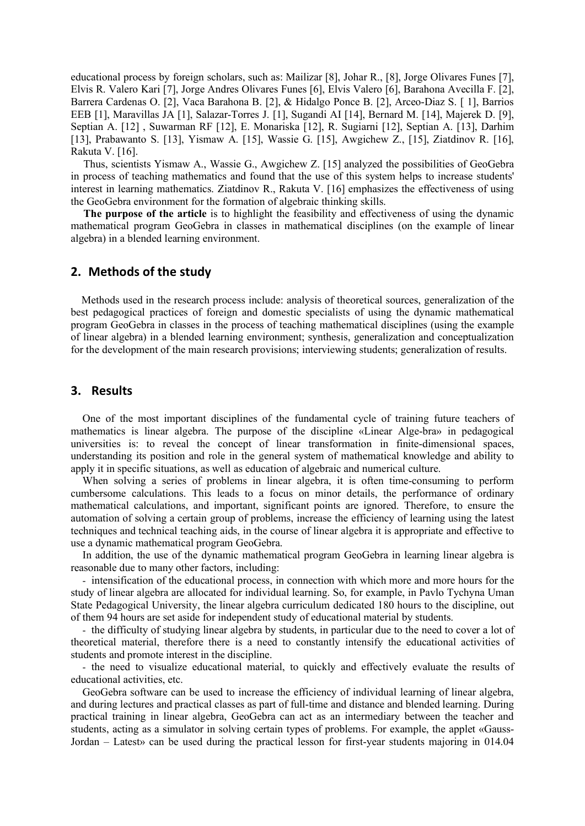educational process by foreign scholars, such as: Mailizar [8], Johar R., [8], Jorge Olivares Funes [7], Elvis R. Valero Kari [7], Jorge Andres Olivares Funes [6], Elvis Valero [6], Barahona Avecilla F. [2], Barrera Cardenas O. [2], Vaca Barahona B. [2], & Hidalgo Ponce B. [2], Arceo-Diaz S. [ 1], Barrios EEB [1], Maravillas JA [1], Salazar-Torres J. [1], Sugandi AI [14], Bernard M. [14], Majerek D. [9], Septian A. [12] , Suwarman RF [12], E. Monariska [12], R. Sugiarni [12], Septian A. [13], Darhim [13], Prabawanto S. [13], Yismaw A. [15], Wassie G. [15], Awgichew Z., [15], Ziatdinov R. [16], Rakuta V. [16].

Thus, scientists Yismaw A., Wassie G., Awgichew Z. [15] analyzed the possibilities of GeoGebra in process of teaching mathematics and found that the use of this system helps to increase students' interest in learning mathematics. Ziatdinov R., Rakuta V. [16] emphasizes the effectiveness of using the GeoGebra environment for the formation of algebraic thinking skills.

The purpose of the article is to highlight the feasibility and effectiveness of using the dynamic mathematical program GeoGebra in classes in mathematical disciplines (on the example of linear algebra) in a blended learning environment.

### 2. Methods of the study

Methods used in the research process include: analysis of theoretical sources, generalization of the best pedagogical practices of foreign and domestic specialists of using the dynamic mathematical program GeoGebra in classes in the process of teaching mathematical disciplines (using the example of linear algebra) in a blended learning environment; synthesis, generalization and conceptualization for the development of the main research provisions; interviewing students; generalization of results.

#### 3. Results

One of the most important disciplines of the fundamental cycle of training future teachers of mathematics is linear algebra. The purpose of the discipline «Linear Alge-bra» in pedagogical universities is: to reveal the concept of linear transformation in finite-dimensional spaces, understanding its position and role in the general system of mathematical knowledge and ability to apply it in specific situations, as well as education of algebraic and numerical culture.

When solving a series of problems in linear algebra, it is often time-consuming to perform cumbersome calculations. This leads to a focus on minor details, the performance of ordinary mathematical calculations, and important, significant points are ignored. Therefore, to ensure the automation of solving a certain group of problems, increase the efficiency of learning using the latest techniques and technical teaching aids, in the course of linear algebra it is appropriate and effective to use a dynamic mathematical program GeoGebra.

In addition, the use of the dynamic mathematical program GeoGebra in learning linear algebra is reasonable due to many other factors, including:

- intensification of the educational process, in connection with which more and more hours for the study of linear algebra are allocated for individual learning. So, for example, in Pavlo Tychyna Uman State Pedagogical University, the linear algebra curriculum dedicated 180 hours to the discipline, out of them 94 hours are set aside for independent study of educational material by students.

- the difficulty of studying linear algebra by students, in particular due to the need to cover a lot of theoretical material, therefore there is a need to constantly intensify the educational activities of students and promote interest in the discipline.

- the need to visualize educational material, to quickly and effectively evaluate the results of educational activities, etc.

GeoGebra software can be used to increase the efficiency of individual learning of linear algebra, and during lectures and practical classes as part of full-time and distance and blended learning. During practical training in linear algebra, GeoGebra can act as an intermediary between the teacher and students, acting as a simulator in solving certain types of problems. For example, the applet «Gauss-Jordan – Latest» can be used during the practical lesson for first-year students majoring in 014.04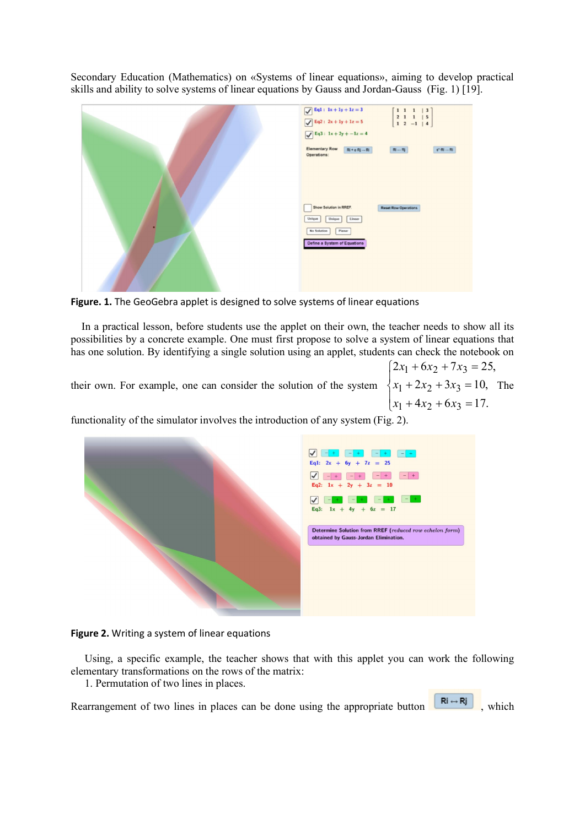Secondary Education (Mathematics) on «Systems of linear equations», aiming to develop practical skills and ability to solve systems of linear equations by Gauss and Jordan-Gauss (Fig. 1) [19].

| $\boxed{\sqrt{Eq1 : 1x + 1y + 1z = 3}}$<br>$\left[ \begin{array}{cccc c} 1 & 1 & 1 & \mid & 3 \\ 2 & 1 & 1 & \mid & 5 \\ 1 & 2 & -1 & \mid & 4 \end{array} \right]$<br>$\sqrt{Eq2 : 2x + 1y + 1z} = 5$ |
|--------------------------------------------------------------------------------------------------------------------------------------------------------------------------------------------------------|
| $\boxed{\sqrt{Eq3: 1x + 2y + -1z = 4}}$                                                                                                                                                                |
| <b>Elementary Row</b><br>$Ri + c \cdot Rj \rightarrow Ri$<br>$Ri \leftrightarrow Rj$<br>$e^*$ -Ri -- Ri<br>Operations:                                                                                 |
|                                                                                                                                                                                                        |
|                                                                                                                                                                                                        |
|                                                                                                                                                                                                        |
| Show Solution in RREF.<br><b>Reset Row Operations</b>                                                                                                                                                  |
| Unique<br>Linear<br>Unique                                                                                                                                                                             |
| Planar<br>No Solution                                                                                                                                                                                  |
| Define a System of Equations                                                                                                                                                                           |
|                                                                                                                                                                                                        |
|                                                                                                                                                                                                        |
|                                                                                                                                                                                                        |

Figure. 1. The GeoGebra applet is designed to solve systems of linear equations

In a practical lesson, before students use the applet on their own, the teacher needs to show all its possibilities by a concrete example. One must first propose to solve a system of linear equations that has one solution. By identifying a single solution using an applet, students can check the notebook on

their own. For example, one can consider the solution of the system

 $\overline{\phantom{a}}$  $\left[ x_1 + 4x_2 + 6x_3 \right] = 17.$  $\vert$  $\{x_1 + 2x_2 + 3x_3 = 10, \text{ The }$  $\int 2x_1 + 6x_2 + 7x_3 = 25,$ 

functionality of the simulator involves the introduction of any system (Fig. 2).



#### Figure 2. Writing a system of linear equations

Using, a specific example, the teacher shows that with this applet you can work the following elementary transformations on the rows of the matrix:

1. Permutation of two lines in places.

Rearrangement of two lines in places can be done using the appropriate button  $\begin{bmatrix} R_i \rightarrow R_j \end{bmatrix}$ , which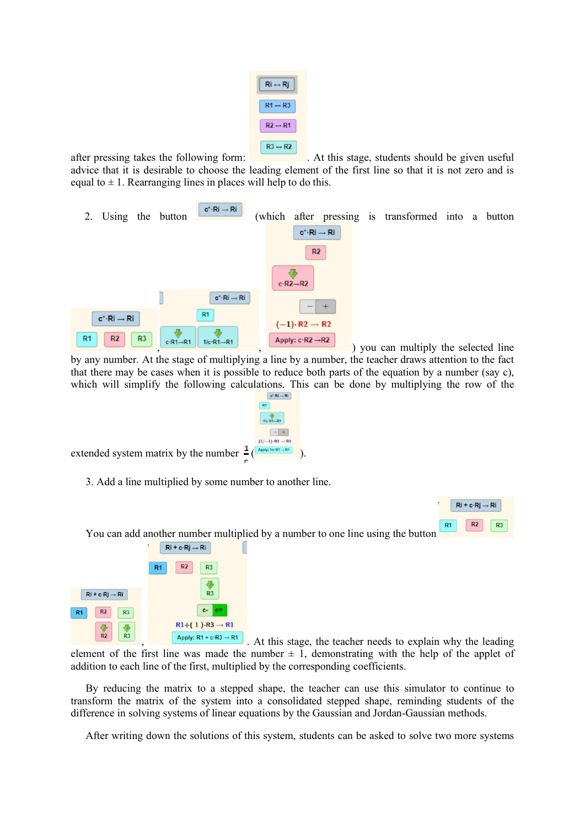| $Ri \leftrightarrow Rj$ |  |
|-------------------------|--|
| $R1 \leftrightarrow R3$ |  |
| $R2 \leftrightarrow R1$ |  |
| $R3 \leftrightarrow R2$ |  |

after pressing takes the following form: . At this stage, students should be given useful advice that it is desirable to choose the leading element of the first line so that it is not zero and is equal to  $\pm$  1. Rearranging lines in places will help to do this.



by any number. At the stage of multiplying a line by a number, the teacher draws attention to the fact that there may be cases when it is possible to reduce both parts of the equation by a number (say c), which will simplify the following calculations. This can be done by multiplying the row of the  $\mathbf{c}^*\!\!\cdot\!\mathsf{R}\mathrm{i} \rightarrow \mathsf{R}\mathrm{i}$ 



extended system matrix by the number  $\frac{1}{2}(\frac{A_{\text{pe}}\ln\left(\frac{1}{A_{\text{pe}}}{\ln\left(\frac{1}{A_{\text{pe}}}{\ln\left(\frac{1}{A_{\text{pe}}}{\ln\left(\frac{1}{A_{\text{pe}}}{\ln\left(\frac{1}{A_{\text{pe}}}{\ln\left(\frac{1}{A_{\text{pe}}}{\ln\left(\frac{1}{A_{\text{pe}}}{\ln\left(\frac{1}{A_{\text{pe}}}{\ln\left(\frac{1}{A_{\text{pe}}}{\ln\left(\frac{1}{A_{\text$ 

3. Add a line multiplied by some number to another line.



You can add another number multiplied by a number to one line using the button



Apply:  $R1 + c \cdot R3 \rightarrow R1$ . At this stage, the teacher needs to explain why the leading

element of the first line was made the number  $\pm$  1, demonstrating with the help of the applet of addition to each line of the first, multiplied by the corresponding coefficients.

By reducing the matrix to a stepped shape, the teacher can use this simulator to continue to transform the matrix of the system into a consolidated stepped shape, reminding students of the difference in solving systems of linear equations by the Gaussian and Jordan-Gaussian methods.

After writing down the solutions of this system, students can be asked to solve two more systems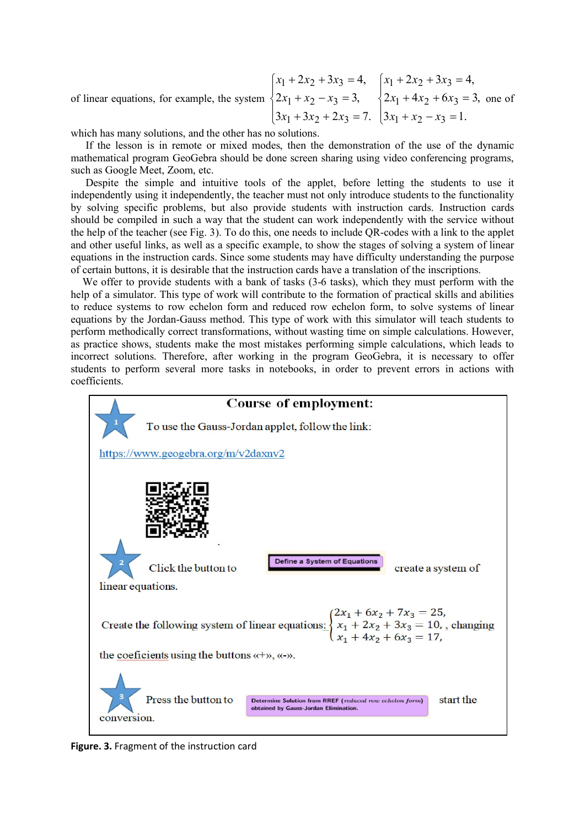of linear equations, for example, the system  $\overline{ }$  $\overline{\mathcal{L}}$  $\Big\}$  $\left\{ \right.$  $\overline{\phantom{a}}$  $+3x_2+2x_3=$  $+x_2 - x_3 =$  $+2x_2+3x_3=$  $3x_1 + 3x_2 + 2x_3 = 7.$  $2x_1 + x_2 - x_3 = 3$  $2x_2 + 3x_3 = 4$  $3 + 3x^2 + 2x^3$  $x_1 + x_2 - x_3$  $x_1 + 2x_2 + 3x_3$  $x_1 + 3x_2 + 2x$  $x_1 + x_2 - x$  $x_1 + 2x_2 + 3x$  $\overline{\phantom{a}}$  $\overline{\mathcal{L}}$  $\vert$  $\left\{ \right.$  $\overline{\phantom{a}}$  $+x_2 - x_3 =$  $+4x_2+6x_3=$  $+2x_2+3x_3=$  $3x_1 + x_2 - x_3 = 1.$  $2x_1 + 4x_2 + 6x_3 = 3$  $2x_2 + 3x_3 = 4$  $x_1 + x_2 - x_3$  $x_1 + 4x_2 + 6x_3$  $z_1 + 2x_2 + 3x_3$  $x_1 + x_2 - x$  $x_1 + 4x_2 + 6x$  $x_1 + 2x_2 + 3x$ one of

which has many solutions, and the other has no solutions.

If the lesson is in remote or mixed modes, then the demonstration of the use of the dynamic mathematical program GeoGebra should be done screen sharing using video conferencing programs, such as Google Meet, Zoom, etc.

Despite the simple and intuitive tools of the applet, before letting the students to use it independently using it independently, the teacher must not only introduce students to the functionality by solving specific problems, but also provide students with instruction cards. Instruction cards should be compiled in such a way that the student can work independently with the service without the help of the teacher (see Fig. 3). To do this, one needs to include QR-codes with a link to the applet and other useful links, as well as a specific example, to show the stages of solving a system of linear equations in the instruction cards. Since some students may have difficulty understanding the purpose of certain buttons, it is desirable that the instruction cards have a translation of the inscriptions.

We offer to provide students with a bank of tasks (3-6 tasks), which they must perform with the help of a simulator. This type of work will contribute to the formation of practical skills and abilities to reduce systems to row echelon form and reduced row echelon form, to solve systems of linear equations by the Jordan-Gauss method. This type of work with this simulator will teach students to perform methodically correct transformations, without wasting time on simple calculations. However, as practice shows, students make the most mistakes performing simple calculations, which leads to incorrect solutions. Therefore, after working in the program GeoGebra, it is necessary to offer students to perform several more tasks in notebooks, in order to prevent errors in actions with coefficients.



Figure. 3. Fragment of the instruction card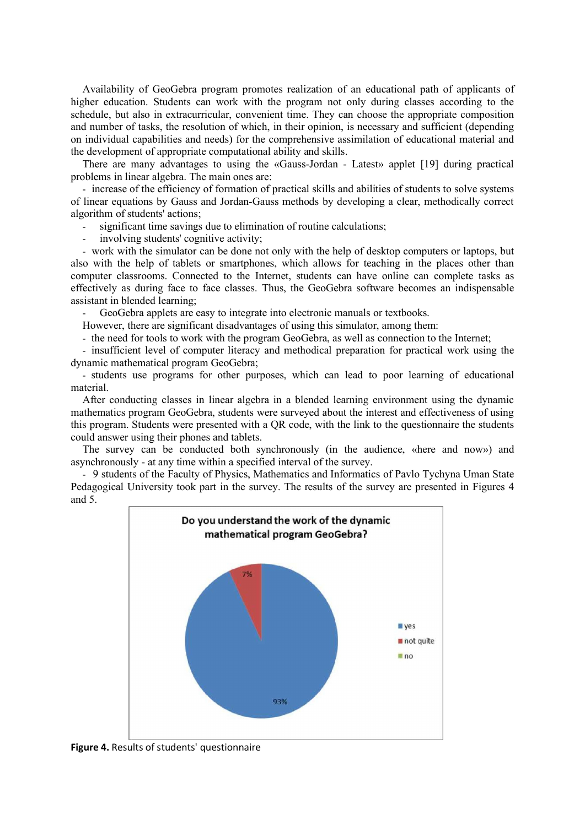Availability of GeoGebra program promotes realization of an educational path of applicants of higher education. Students can work with the program not only during classes according to the schedule, but also in extracurricular, convenient time. They can choose the appropriate composition and number of tasks, the resolution of which, in their opinion, is necessary and sufficient (depending on individual capabilities and needs) for the comprehensive assimilation of educational material and the development of appropriate computational ability and skills.

There are many advantages to using the «Gauss-Jordan - Latest» applet [19] during practical problems in linear algebra. The main ones are:

- increase of the efficiency of formation of practical skills and abilities of students to solve systems of linear equations by Gauss and Jordan-Gauss methods by developing a clear, methodically correct algorithm of students' actions;

- significant time savings due to elimination of routine calculations;
- involving students' cognitive activity;

- work with the simulator can be done not only with the help of desktop computers or laptops, but also with the help of tablets or smartphones, which allows for teaching in the places other than computer classrooms. Connected to the Internet, students can have online can complete tasks as effectively as during face to face classes. Thus, the GeoGebra software becomes an indispensable assistant in blended learning;

GeoGebra applets are easy to integrate into electronic manuals or textbooks.

However, there are significant disadvantages of using this simulator, among them:

- the need for tools to work with the program GeoGebra, as well as connection to the Internet;

- insufficient level of computer literacy and methodical preparation for practical work using the dynamic mathematical program GeoGebra;

- students use programs for other purposes, which can lead to poor learning of educational material.

After conducting classes in linear algebra in a blended learning environment using the dynamic mathematics program GeoGebra, students were surveyed about the interest and effectiveness of using this program. Students were presented with a QR code, with the link to the questionnaire the students could answer using their phones and tablets.

The survey can be conducted both synchronously (in the audience, «here and now») and asynchronously - at any time within a specified interval of the survey.

- 9 students of the Faculty of Physics, Mathematics and Informatics of Pavlo Tychyna Uman State Pedagogical University took part in the survey. The results of the survey are presented in Figures 4 and 5.



Figure 4. Results of students' questionnaire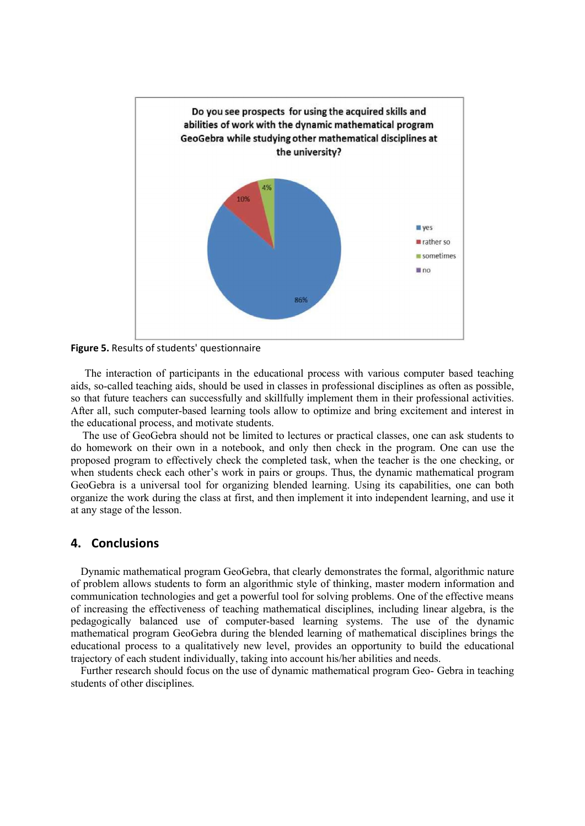

Figure 5. Results of students' questionnaire

The interaction of participants in the educational process with various computer based teaching aids, so-called teaching aids, should be used in classes in professional disciplines as often as possible, so that future teachers can successfully and skillfully implement them in their professional activities. After all, such computer-based learning tools allow to optimize and bring excitement and interest in the educational process, and motivate students.

The use of GeoGebra should not be limited to lectures or practical classes, one can ask students to do homework on their own in a notebook, and only then check in the program. One can use the proposed program to effectively check the completed task, when the teacher is the one checking, or when students check each other's work in pairs or groups. Thus, the dynamic mathematical program GeoGebra is a universal tool for organizing blended learning. Using its capabilities, one can both organize the work during the class at first, and then implement it into independent learning, and use it at any stage of the lesson.

## 4. Conclusions

Dynamic mathematical program GeoGebra, that clearly demonstrates the formal, algorithmic nature of problem allows students to form an algorithmic style of thinking, master modern information and communication technologies and get a powerful tool for solving problems. One of the effective means of increasing the effectiveness of teaching mathematical disciplines, including linear algebra, is the pedagogically balanced use of computer-based learning systems. The use of the dynamic mathematical program GeoGebra during the blended learning of mathematical disciplines brings the educational process to a qualitatively new level, provides an opportunity to build the educational trajectory of each student individually, taking into account his/her abilities and needs.

Further research should focus on the use of dynamic mathematical program Geo- Gebra in teaching students of other disciplines.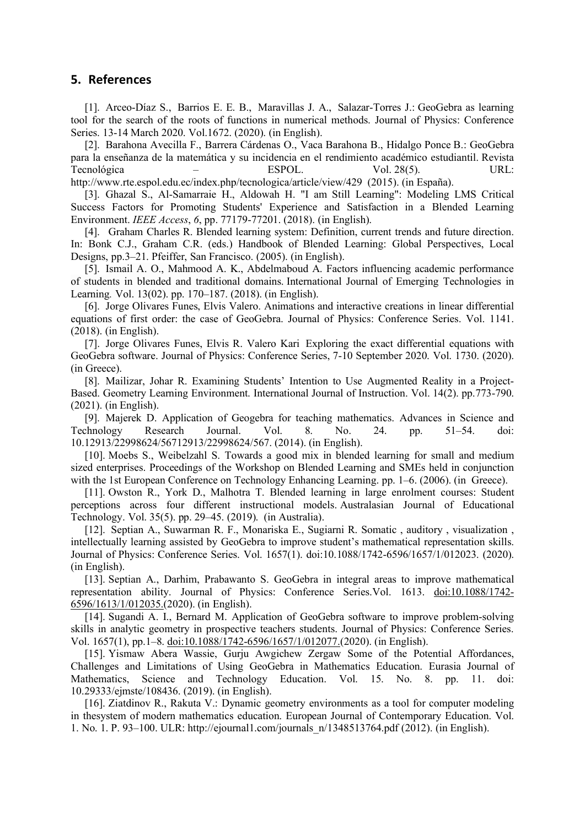## 5. References

[1]. Arceo-Díaz S., Barrios E. E. B., Maravillas J. A., Salazar-Torres J.: GeoGebra as learning tool for the search of the roots of functions in numerical methods. Journal of Physics: Conference Series. 13-14 March 2020. Vol.1672. (2020). (in English).

[2]. Barahona Avecilla F., Barrera Cárdenas O., Vaca Barahona B., Hidalgo Ponce B.: GeoGebra para la enseñanza de la matemática y su incidencia en el rendimiento académico estudiantil. Revista Tecnológica – ESPOL. Vol. 28(5). URL:

http://www.rte.espol.edu.ec/index.php/tecnologica/article/view/429 (2015). (in España). [3]. Ghazal S., Al-Samarraie H., Aldowah H. "I am Still Learning": Modeling LMS Critical

Success Factors for Promoting Students' Experience and Satisfaction in a Blended Learning Environment. *IEEE Access*, *6*, pp. 77179-77201. (2018). (in English).

[4]. Graham Charles R. Blended learning system: Definition, current trends and future direction. In: Bonk C.J., Graham C.R. (eds.) Handbook of Blended Learning: Global Perspectives, Local Designs, pp.3–21. Pfeiffer, San Francisco. (2005). (in English).

[5]. Ismail A. O., Mahmood A. K., Abdelmaboud A. Factors influencing academic performance of students in blended and traditional domains. International Journal of Emerging Technologies in Learning*.* Vol. 13(02). pp. 170–187. (2018). (in English).

[6]. Jorge Olivares Funes, Elvis Valero. Animations and interactive creations in linear differential equations of first order: the case of GeoGebra. Journal of Physics: Conference Series. Vol. 1141. (2018). (in English).

[7]. Jorge Olivares Funes, Elvis R. Valero Kari Exploring the exact differential equations with GeoGebra software. Journal of Physics: Conference Series, 7-10 September 2020. Vol. 1730. (2020). (in Greece).

[8]. Mailizar, Johar R. Examining Students' Intention to Use Augmented Reality in a Project-Based. Geometry Learning Environment. International Journal of Instruction. Vol. 14(2). pp.773-790. (2021). (in English).

[9]. Majerek D. Application of Geogebra for teaching mathematics. Advances in Science and Technology Research Journal. Vol. 8. No. 24. pp. 51–54. doi: 10.12913/22998624/56712913/22998624/567. (2014). (in English).

[10]. Moebs S., Weibelzahl S. Towards a good mix in blended learning for small and medium sized enterprises. Proceedings of the Workshop on Blended Learning and SMEs held in conjunction with the 1st European Conference on Technology Enhancing Learning. pp. 1–6. (2006). (in Greece).

[11]. Owston R., York D., Malhotra T. Blended learning in large enrolment courses: Student perceptions across four different instructional models. Australasian Journal of Educational Technology. Vol. 35(5). pp. 29–45. (2019). (in Australia).

[12]. Septian A., Suwarman R. F., Monariska E., Sugiarni R. Somatic , auditory , visualization , intellectually learning assisted by GeoGebra to improve student's mathematical representation skills. Journal of Physics: Conference Series. Vol. 1657(1). doi:10.1088/1742-6596/1657/1/012023. (2020). (in English).

[13]. Septian A., Darhim, Prabawanto S. GeoGebra in integral areas to improve mathematical representation ability. Journal of Physics: Conference Series.Vol. 1613. doi:10.1088/1742- 6596/1613/1/012035.(2020). (in English).

[14]. Sugandi A. I., Bernard M. Application of GeoGebra software to improve problem-solving skills in analytic geometry in prospective teachers students. Journal of Physics: Conference Series. Vol. 1657(1), pp.1–8. doi:10.1088/1742-6596/1657/1/012077.(2020). (in English).

[15]. Yismaw Abera Wassie, Gurju Awgichew Zergaw Some of the Potential Affordances, Challenges and Limitations of Using GeoGebra in Mathematics Education. Eurasia Journal of Mathematics, Science and Technology Education. Vol. 15. No. 8. pp. 11. doi: 10.29333/ejmste/108436. (2019). (in English).

[16]. Ziatdinov R., Rakuta V.: Dynamic geometry environments as a tool for computer modeling in thesystem of modern mathematics education. European Journal of Contemporary Education. Vol. 1. No. 1. P. 93–100. ULR: http://ejournal1.com/journals\_n/1348513764.pdf (2012). (in English).